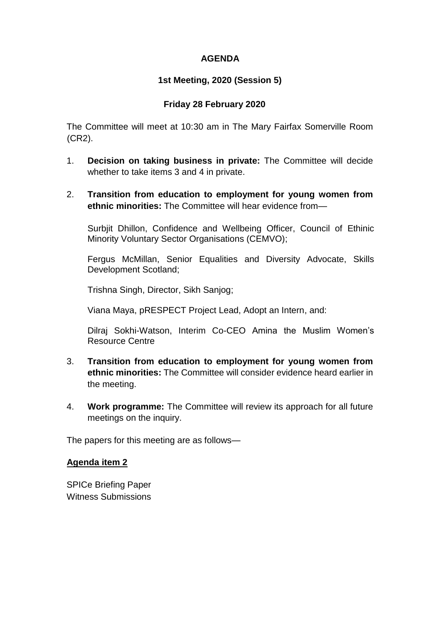### **AGENDA**

## **1st Meeting, 2020 (Session 5)**

### **Friday 28 February 2020**

The Committee will meet at 10:30 am in The Mary Fairfax Somerville Room (CR2).

- 1. **Decision on taking business in private:** The Committee will decide whether to take items 3 and 4 in private.
- 2. **Transition from education to employment for young women from ethnic minorities:** The Committee will hear evidence from—

Surbjit Dhillon, Confidence and Wellbeing Officer, Council of Ethinic Minority Voluntary Sector Organisations (CEMVO);

Fergus McMillan, Senior Equalities and Diversity Advocate, Skills Development Scotland;

Trishna Singh, Director, Sikh Sanjog;

Viana Maya, pRESPECT Project Lead, Adopt an Intern, and:

Dilraj Sokhi-Watson, Interim Co-CEO Amina the Muslim Women's Resource Centre

- 3. **Transition from education to employment for young women from ethnic minorities:** The Committee will consider evidence heard earlier in the meeting.
- 4. **Work programme:** The Committee will review its approach for all future meetings on the inquiry.

The papers for this meeting are as follows—

#### **Agenda item 2**

SPICe Briefing Paper Witness Submissions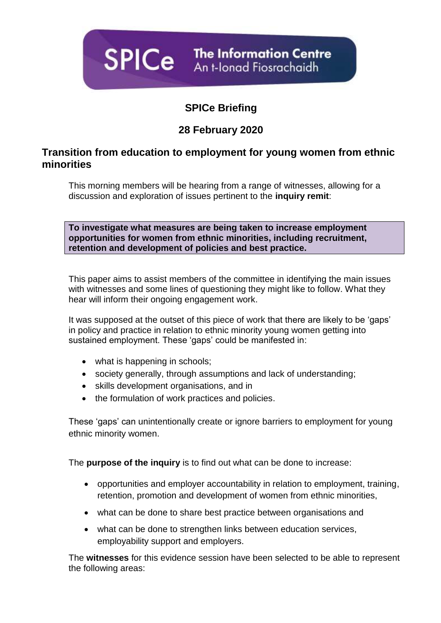

# **SPICe Briefing**

# **28 February 2020**

## **Transition from education to employment for young women from ethnic minorities**

This morning members will be hearing from a range of witnesses, allowing for a discussion and exploration of issues pertinent to the **inquiry remit**:

**To investigate what measures are being taken to increase employment opportunities for women from ethnic minorities, including recruitment, retention and development of policies and best practice.**

This paper aims to assist members of the committee in identifying the main issues with witnesses and some lines of questioning they might like to follow. What they hear will inform their ongoing engagement work.

It was supposed at the outset of this piece of work that there are likely to be 'gaps' in policy and practice in relation to ethnic minority young women getting into sustained employment. These 'gaps' could be manifested in:

- what is happening in schools;
- society generally, through assumptions and lack of understanding;
- skills development organisations, and in
- the formulation of work practices and policies.

These 'gaps' can unintentionally create or ignore barriers to employment for young ethnic minority women.

The **purpose of the inquiry** is to find out what can be done to increase:

- opportunities and employer accountability in relation to employment, training, retention, promotion and development of women from ethnic minorities,
- what can be done to share best practice between organisations and
- what can be done to strengthen links between education services, employability support and employers.

The **witnesses** for this evidence session have been selected to be able to represent the following areas: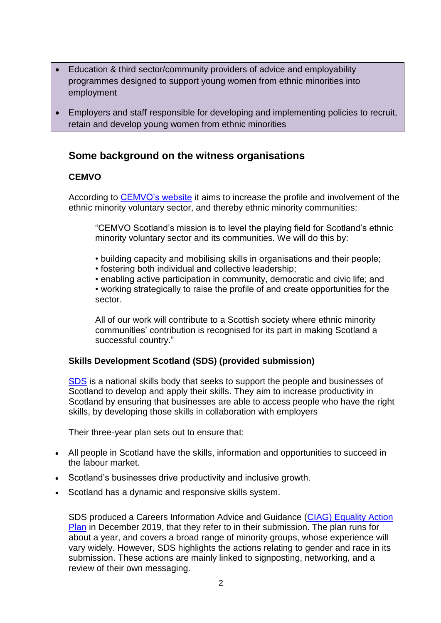- Education & third sector/community providers of advice and employability programmes designed to support young women from ethnic minorities into employment
- Employers and staff responsible for developing and implementing policies to recruit, retain and develop young women from ethnic minorities

## **Some background on the witness organisations**

## **CEMVO**

According to [CEMVO's website](https://www.cemvoscotland.org.uk/programmes/emwn/) it aims to increase the profile and involvement of the ethnic minority voluntary sector, and thereby ethnic minority communities:

"CEMVO Scotland's mission is to level the playing field for Scotland's ethnic minority voluntary sector and its communities. We will do this by:

- building capacity and mobilising skills in organisations and their people;
- fostering both individual and collective leadership;

• enabling active participation in community, democratic and civic life; and

• working strategically to raise the profile of and create opportunities for the sector.

All of our work will contribute to a Scottish society where ethnic minority communities' contribution is recognised for its part in making Scotland a successful country."

## **Skills Development Scotland (SDS) (provided submission)**

[SDS](https://www.skillsdevelopmentscotland.co.uk/what-we-do/) is a national skills body that seeks to support the people and businesses of Scotland to develop and apply their skills. They aim to increase productivity in Scotland by ensuring that businesses are able to access people who have the right skills, by developing those skills in collaboration with employers

Their three-year plan sets out to ensure that:

- All people in Scotland have the skills, information and opportunities to succeed in the labour market.
- Scotland's businesses drive productivity and inclusive growth.
- Scotland has a dynamic and responsive skills system.

SDS produced a Careers Information Advice and Guidance (CIAG) [Equality Action](https://www.skillsdevelopmentscotland.co.uk/media/46284/ciag-equality-action-plan-2019-21.pdf)  [Plan](https://www.skillsdevelopmentscotland.co.uk/media/46284/ciag-equality-action-plan-2019-21.pdf) in December 2019, that they refer to in their submission. The plan runs for about a year, and covers a broad range of minority groups, whose experience will vary widely. However, SDS highlights the actions relating to gender and race in its submission. These actions are mainly linked to signposting, networking, and a review of their own messaging.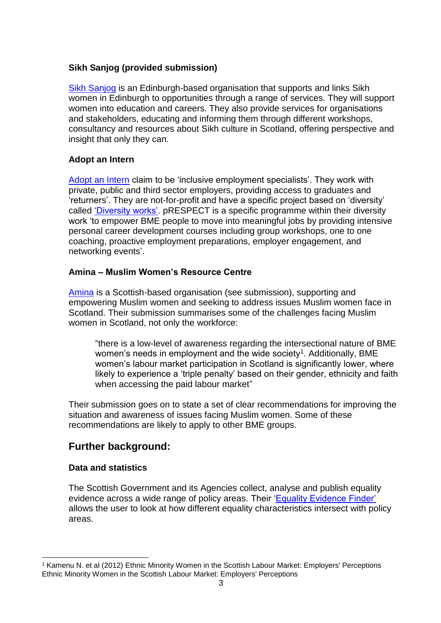## **Sikh Sanjog (provided submission)**

[Sikh Sanjog](http://www.sikhsanjog.com/our-work/) is an Edinburgh-based organisation that supports and links Sikh women in Edinburgh to opportunities through a range of services. They will support women into education and careers. They also provide services for organisations and stakeholders, educating and informing them through different workshops, consultancy and resources about Sikh culture in Scotland, offering perspective and insight that only they can.

#### **Adopt an Intern**

[Adopt an Intern](https://www.aai-employability.org.uk/) claim to be 'inclusive employment specialists'. They work with private, public and third sector employers, providing access to graduates and 'returners'. They are not-for-profit and have a specific project based on 'diversity' called ['Diversity works'.](https://www.aai-employability.org.uk/diversity_works) pRESPECT is a specific programme within their diversity work 'to empower BME people to move into meaningful jobs by providing intensive personal career development courses including group workshops, one to one coaching, proactive employment preparations, employer engagement, and networking events'.

### **Amina – Muslim Women's Resource Centre**

[Amina](https://mwrc.org.uk/about-us/) is a Scottish-based organisation (see submission), supporting and empowering Muslim women and seeking to address issues Muslim women face in Scotland. Their submission summarises some of the challenges facing Muslim women in Scotland, not only the workforce:

"there is a low-level of awareness regarding the intersectional nature of BME women's needs in employment and the wide society<sup>1</sup>. Additionally, BME women's labour market participation in Scotland is significantly lower, where likely to experience a 'triple penalty' based on their gender, ethnicity and faith when accessing the paid labour market"

Their submission goes on to state a set of clear recommendations for improving the situation and awareness of issues facing Muslim women. Some of these recommendations are likely to apply to other BME groups.

## **Further background:**

## **Data and statistics**

The Scottish Government and its Agencies collect, analyse and publish equality evidence across a wide range of policy areas. Their ['Equality Evidence Finder'](http://www.equalityevidence.scot/) allows the user to look at how different equality characteristics intersect with policy areas.

<sup>-</sup><sup>1</sup> Kamenu N. et al (2012) Ethnic Minority Women in the Scottish Labour Market: Employers' Perceptions Ethnic Minority Women in the Scottish Labour Market: Employers' Perceptions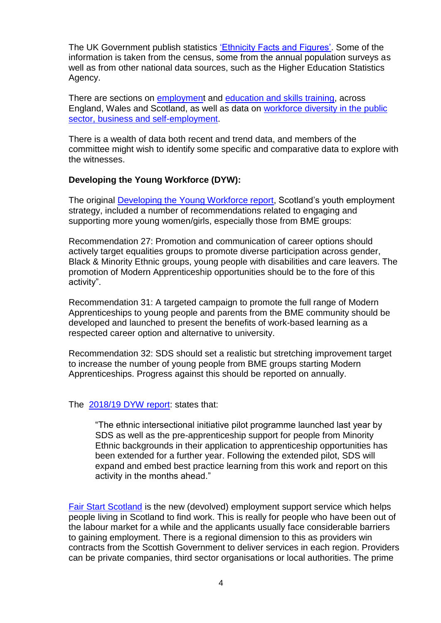The UK Government publish statistics ['Ethnicity Facts and Figures'.](https://www.ethnicity-facts-figures.service.gov.uk/) Some of the information is taken from the census, some from the annual population surveys as well as from other national data sources, such as the Higher Education Statistics Agency.

There are sections on [employment](https://www.ethnicity-facts-figures.service.gov.uk/work-pay-and-benefits) and [education and skills training,](https://www.ethnicity-facts-figures.service.gov.uk/education-skills-and-training) across England, Wales and Scotland, as well as data on [workforce diversity in the public](https://www.ethnicity-facts-figures.service.gov.uk/workforce-and-business)  [sector, business and self-employment.](https://www.ethnicity-facts-figures.service.gov.uk/workforce-and-business)

There is a wealth of data both recent and trend data, and members of the committee might wish to identify some specific and comparative data to explore with the witnesses.

## **Developing the Young Workforce (DYW):**

The original [Developing the Young Workforce report,](https://www.gov.scot/publications/developing-young-workforce-scotlands-youth-employment-strategy/) Scotland's youth employment strategy, included a number of recommendations related to engaging and supporting more young women/girls, especially those from BME groups:

Recommendation 27: Promotion and communication of career options should actively target equalities groups to promote diverse participation across gender, Black & Minority Ethnic groups, young people with disabilities and care leavers. The promotion of Modern Apprenticeship opportunities should be to the fore of this activity".

Recommendation 31: A targeted campaign to promote the full range of Modern Apprenticeships to young people and parents from the BME community should be developed and launched to present the benefits of work-based learning as a respected career option and alternative to university.

Recommendation 32: SDS should set a realistic but stretching improvement target to increase the number of young people from BME groups starting Modern Apprenticeships. Progress against this should be reported on annually.

#### The [2018/19 DYW report:](https://www.gov.scot/binaries/content/documents/govscot/publications/progress-report/2019/12/developing-young-workforce-fifth-annual-progress-report-2018-19/documents/developing-young-workforce-scotlands-youth-employment-strategy-fifth-annual-progress-report-2018-2019/developing-young-workforce-scotlands-youth-employment-strategy-fifth-annual-progress-report-2018-2019/govscot%3Adocument/developing-young-workforce-scotlands-youth-employment-strategy-fifth-annual-progress-report-2018-2019.pdf) states that:

"The ethnic intersectional initiative pilot programme launched last year by SDS as well as the pre-apprenticeship support for people from Minority Ethnic backgrounds in their application to apprenticeship opportunities has been extended for a further year. Following the extended pilot, SDS will expand and embed best practice learning from this work and report on this activity in the months ahead."

[Fair Start Scotland](https://www.mygov.scot/help-find-job/) is the new (devolved) employment support service which helps people living in Scotland to find work. This is really for people who have been out of the labour market for a while and the applicants usually face considerable barriers to gaining employment. There is a regional dimension to this as providers win contracts from the Scottish Government to deliver services in each region. Providers can be private companies, third sector organisations or local authorities. The prime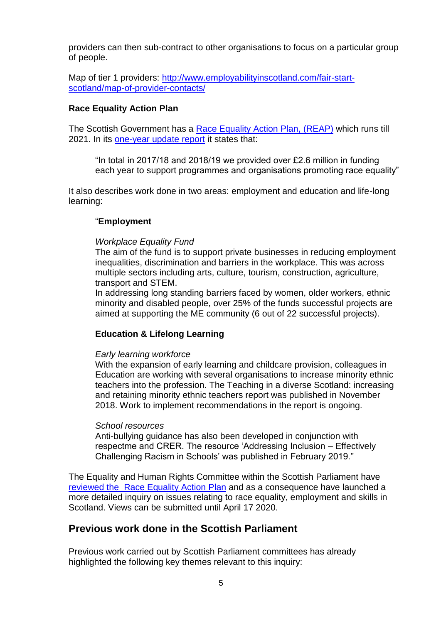providers can then sub-contract to other organisations to focus on a particular group of people.

Map of tier 1 providers: [http://www.employabilityinscotland.com/fair-start](http://www.employabilityinscotland.com/fair-start-scotland/map-of-provider-contacts/)[scotland/map-of-provider-contacts/](http://www.employabilityinscotland.com/fair-start-scotland/map-of-provider-contacts/)

#### **Race Equality Action Plan**

The Scottish Government has a [Race Equality Action Plan,](https://www.gov.scot/publications/fairer-scotland-race-equality-action-plan-2017-2021-highlight-report/pages/6/) (REAP) which runs till 2021. In its [one-year update report](https://www.gov.scot/publications/race-equality-action-plan-year-1-progress-update/) it states that:

"In total in 2017/18 and 2018/19 we provided over £2.6 million in funding each year to support programmes and organisations promoting race equality"

It also describes work done in two areas: employment and education and life-long learning:

#### "**Employment**

#### *Workplace Equality Fund*

The aim of the fund is to support private businesses in reducing employment inequalities, discrimination and barriers in the workplace. This was across multiple sectors including arts, culture, tourism, construction, agriculture, transport and STEM.

In addressing long standing barriers faced by women, older workers, ethnic minority and disabled people, over 25% of the funds successful projects are aimed at supporting the ME community (6 out of 22 successful projects).

## **Education & Lifelong Learning**

#### *Early learning workforce*

With the expansion of early learning and childcare provision, colleagues in Education are working with several organisations to increase minority ethnic teachers into the profession. The Teaching in a diverse Scotland: increasing and retaining minority ethnic teachers report was published in November 2018. Work to implement recommendations in the report is ongoing.

#### *School resources*

Anti-bullying guidance has also been developed in conjunction with respectme and CRER. The resource 'Addressing Inclusion – Effectively Challenging Racism in Schools' was published in February 2019."

The Equality and Human Rights Committee within the Scottish Parliament have [reviewed the Race Equality Action Plan](https://external.parliament.scot/parliamentarybusiness/CurrentCommittees/113735.aspx) and as a consequence have launched a more detailed inquiry on issues relating to race equality, employment and skills in Scotland. Views can be submitted until April 17 2020.

## **Previous work done in the Scottish Parliament**

Previous work carried out by Scottish Parliament committees has already highlighted the following key themes relevant to this inquiry: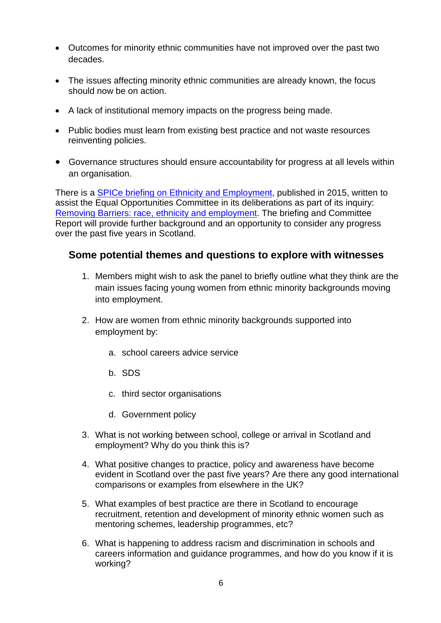- Outcomes for minority ethnic communities have not improved over the past two decades.
- The issues affecting minority ethnic communities are already known, the focus should now be on action.
- A lack of institutional memory impacts on the progress being made.
- Public bodies must learn from existing best practice and not waste resources reinventing policies.
- Governance structures should ensure accountability for progress at all levels within an organisation.

There is a [SPICe briefing on Ethnicity and Employment,](http://www.parliament.scot/ResearchBriefingsAndFactsheets/S4/SB_15-31_Ethnicity_and_Employment.pdf) published in 2015, written to assist the Equal Opportunities Committee in its deliberations as part of its inquiry: [Removing Barriers: race, ethnicity and employment.](http://www.parliament.scot/S4_EqualOpportunitiesCommittee/Reports/EOS042016R01Rev.pdf) The briefing and Committee Report will provide further background and an opportunity to consider any progress over the past five years in Scotland.

## **Some potential themes and questions to explore with witnesses**

- 1. Members might wish to ask the panel to briefly outline what they think are the main issues facing young women from ethnic minority backgrounds moving into employment.
- 2. How are women from ethnic minority backgrounds supported into employment by:
	- a. school careers advice service
	- b. SDS
	- c. third sector organisations
	- d. Government policy
- 3. What is not working between school, college or arrival in Scotland and employment? Why do you think this is?
- 4. What positive changes to practice, policy and awareness have become evident in Scotland over the past five years? Are there any good international comparisons or examples from elsewhere in the UK?
- 5. What examples of best practice are there in Scotland to encourage recruitment, retention and development of minority ethnic women such as mentoring schemes, leadership programmes, etc?
- 6. What is happening to address racism and discrimination in schools and careers information and guidance programmes, and how do you know if it is working?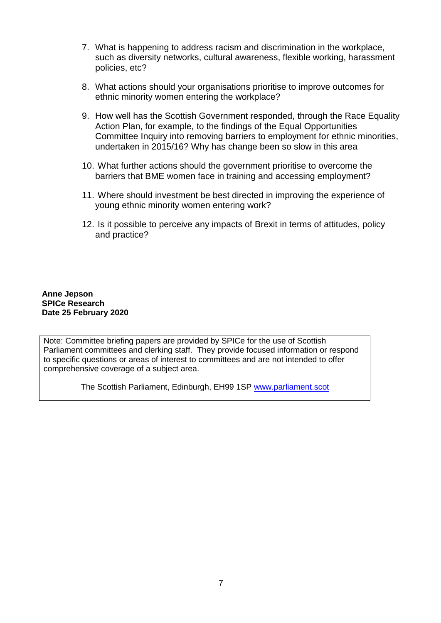- 7. What is happening to address racism and discrimination in the workplace, such as diversity networks, cultural awareness, flexible working, harassment policies, etc?
- 8. What actions should your organisations prioritise to improve outcomes for ethnic minority women entering the workplace?
- 9. How well has the Scottish Government responded, through the Race Equality Action Plan, for example, to the findings of the Equal Opportunities Committee Inquiry into removing barriers to employment for ethnic minorities, undertaken in 2015/16? Why has change been so slow in this area
- 10. What further actions should the government prioritise to overcome the barriers that BME women face in training and accessing employment?
- 11. Where should investment be best directed in improving the experience of young ethnic minority women entering work?
- 12. Is it possible to perceive any impacts of Brexit in terms of attitudes, policy and practice?

**Anne Jepson SPICe Research Date 25 February 2020**

Note: Committee briefing papers are provided by SPICe for the use of Scottish Parliament committees and clerking staff. They provide focused information or respond to specific questions or areas of interest to committees and are not intended to offer comprehensive coverage of a subject area.

The Scottish Parliament, Edinburgh, EH99 1SP [www.parliament.scot](http://www.parliament.scot/)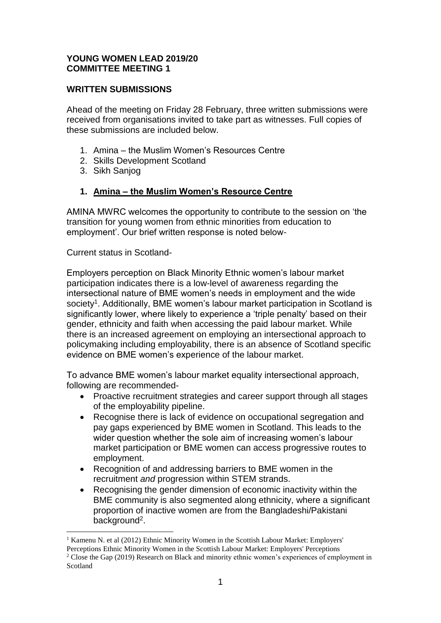## **YOUNG WOMEN LEAD 2019/20 COMMITTEE MEETING 1**

### **WRITTEN SUBMISSIONS**

Ahead of the meeting on Friday 28 February, three written submissions were received from organisations invited to take part as witnesses. Full copies of these submissions are included below.

- 1. Amina the Muslim Women's Resources Centre
- 2. Skills Development Scotland
- 3. Sikh Sanjog

### **1. Amina – the Muslim Women's Resource Centre**

AMINA MWRC welcomes the opportunity to contribute to the session on 'the transition for young women from ethnic minorities from education to employment'. Our brief written response is noted below-

Current status in Scotland-

1

Employers perception on Black Minority Ethnic women's labour market participation indicates there is a low-level of awareness regarding the intersectional nature of BME women's needs in employment and the wide society<sup>1</sup>. Additionally, BME women's labour market participation in Scotland is significantly lower, where likely to experience a 'triple penalty' based on their gender, ethnicity and faith when accessing the paid labour market. While there is an increased agreement on employing an intersectional approach to policymaking including employability, there is an absence of Scotland specific evidence on BME women's experience of the labour market.

To advance BME women's labour market equality intersectional approach, following are recommended-

- Proactive recruitment strategies and career support through all stages of the employability pipeline.
- Recognise there is lack of evidence on occupational segregation and pay gaps experienced by BME women in Scotland. This leads to the wider question whether the sole aim of increasing women's labour market participation or BME women can access progressive routes to employment.
- Recognition of and addressing barriers to BME women in the recruitment *and* progression within STEM strands.
- Recognising the gender dimension of economic inactivity within the BME community is also segmented along ethnicity, where a significant proportion of inactive women are from the Bangladeshi/Pakistani background<sup>2</sup>.

<sup>&</sup>lt;sup>1</sup> Kamenu N. et al (2012) Ethnic Minority Women in the Scottish Labour Market: Employers' Perceptions Ethnic Minority Women in the Scottish Labour Market: Employers' Perceptions <sup>2</sup> Close the Gap (2019) Research on Black and minority ethnic women's experiences of employment in Scotland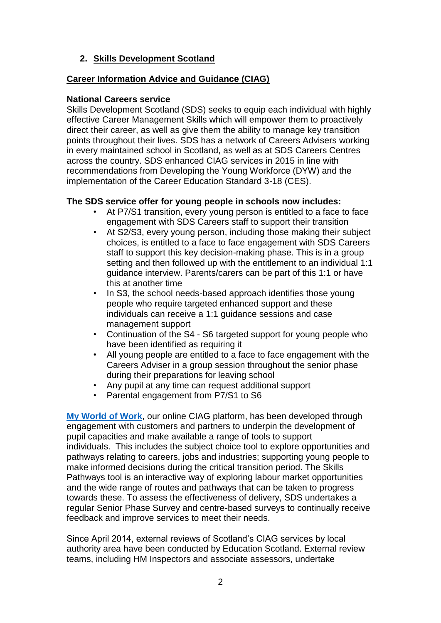## **2. Skills Development Scotland**

### **Career Information Advice and Guidance (CIAG)**

#### **National Careers service**

Skills Development Scotland (SDS) seeks to equip each individual with highly effective Career Management Skills which will empower them to proactively direct their career, as well as give them the ability to manage key transition points throughout their lives. SDS has a network of Careers Advisers working in every maintained school in Scotland, as well as at SDS Careers Centres across the country. SDS enhanced CIAG services in 2015 in line with recommendations from Developing the Young Workforce (DYW) and the implementation of the Career Education Standard 3-18 (CES).

### **The SDS service offer for young people in schools now includes:**

- At P7/S1 transition, every young person is entitled to a face to face engagement with SDS Careers staff to support their transition
- At S2/S3, every young person, including those making their subject choices, is entitled to a face to face engagement with SDS Careers staff to support this key decision-making phase. This is in a group setting and then followed up with the entitlement to an individual 1:1 guidance interview. Parents/carers can be part of this 1:1 or have this at another time
- In S3, the school needs-based approach identifies those young people who require targeted enhanced support and these individuals can receive a 1:1 guidance sessions and case management support
- Continuation of the S4 S6 targeted support for young people who have been identified as requiring it
- All young people are entitled to a face to face engagement with the Careers Adviser in a group session throughout the senior phase during their preparations for leaving school
- Any pupil at any time can request additional support
- Parental engagement from P7/S1 to S6

**[My World of Work](https://www.myworldofwork.co.uk/)**, our online CIAG platform, has been developed through engagement with customers and partners to underpin the development of pupil capacities and make available a range of tools to support individuals. This includes the subject choice tool to explore opportunities and pathways relating to careers, jobs and industries; supporting young people to make informed decisions during the critical transition period. The Skills Pathways tool is an interactive way of exploring labour market opportunities and the wide range of routes and pathways that can be taken to progress towards these. To assess the effectiveness of delivery, SDS undertakes a regular Senior Phase Survey and centre-based surveys to continually receive feedback and improve services to meet their needs.

Since April 2014, external reviews of Scotland's CIAG services by local authority area have been conducted by Education Scotland. External review teams, including HM Inspectors and associate assessors, undertake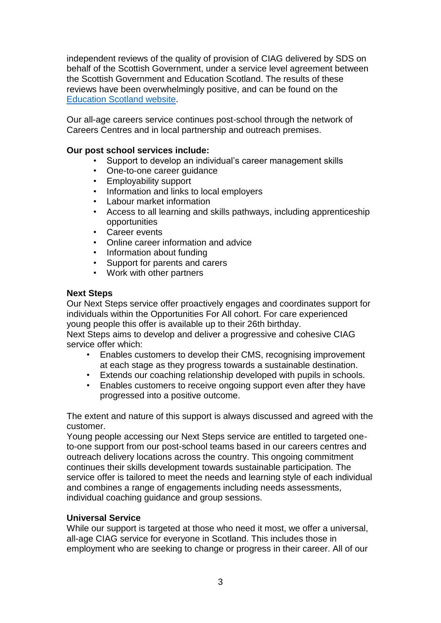independent reviews of the quality of provision of CIAG delivered by SDS on behalf of the Scottish Government, under a service level agreement between the Scottish Government and Education Scotland. The results of these reviews have been overwhelmingly positive, and can be found on the [Education Scotland website.](https://education.gov.scot/education-scotland/inspection-reports/)

Our all-age careers service continues post-school through the network of Careers Centres and in local partnership and outreach premises.

### **Our post school services include:**

- Support to develop an individual's career management skills
- One-to-one career guidance
- Employability support
- Information and links to local employers
- Labour market information
- Access to all learning and skills pathways, including apprenticeship opportunities
- Career events
- Online career information and advice
- Information about funding
- Support for parents and carers
- Work with other partners

#### **Next Steps**

Our Next Steps service offer proactively engages and coordinates support for individuals within the Opportunities For All cohort. For care experienced young people this offer is available up to their 26th birthday.

Next Steps aims to develop and deliver a progressive and cohesive CIAG service offer which:

- Enables customers to develop their CMS, recognising improvement at each stage as they progress towards a sustainable destination.
- Extends our coaching relationship developed with pupils in schools.
- Enables customers to receive ongoing support even after they have progressed into a positive outcome.

The extent and nature of this support is always discussed and agreed with the customer.

Young people accessing our Next Steps service are entitled to targeted oneto-one support from our post-school teams based in our careers centres and outreach delivery locations across the country. This ongoing commitment continues their skills development towards sustainable participation. The service offer is tailored to meet the needs and learning style of each individual and combines a range of engagements including needs assessments, individual coaching guidance and group sessions.

## **Universal Service**

While our support is targeted at those who need it most, we offer a universal, all-age CIAG service for everyone in Scotland. This includes those in employment who are seeking to change or progress in their career. All of our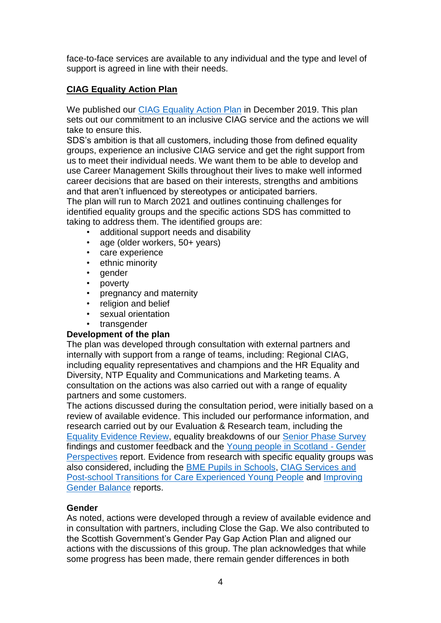face-to-face services are available to any individual and the type and level of support is agreed in line with their needs.

## **CIAG Equality Action Plan**

We published our [CIAG Equality Action Plan](https://www.skillsdevelopmentscotland.co.uk/media/46284/ciag-equality-action-plan-2019-21.pdf) in December 2019. This plan sets out our commitment to an inclusive CIAG service and the actions we will take to ensure this.

SDS's ambition is that all customers, including those from defined equality groups, experience an inclusive CIAG service and get the right support from us to meet their individual needs. We want them to be able to develop and use Career Management Skills throughout their lives to make well informed career decisions that are based on their interests, strengths and ambitions and that aren't influenced by stereotypes or anticipated barriers.

The plan will run to March 2021 and outlines continuing challenges for identified equality groups and the specific actions SDS has committed to taking to address them. The identified groups are:

- additional support needs and disability
- age (older workers, 50+ years)
- care experience
- ethnic minority
- gender
- poverty
- pregnancy and maternity
- religion and belief
- sexual orientation
- transgender

#### **Development of the plan**

The plan was developed through consultation with external partners and internally with support from a range of teams, including: Regional CIAG, including equality representatives and champions and the HR Equality and Diversity, NTP Equality and Communications and Marketing teams. A consultation on the actions was also carried out with a range of equality partners and some customers.

The actions discussed during the consultation period, were initially based on a review of available evidence. This included our performance information, and research carried out by our Evaluation & Research team, including the [Equality Evidence Review,](https://skillsdevelopmentscotland.sharepoint.com/:f:/s/IShare/Connectcontent/EobeseX1uIxIqJd73QWY3EQByZNy5V7obHQOaYc5LKp3ZQ?e=WOALOt) equality breakdowns of our [Senior Phase Survey](https://skillsdevelopmentscotland.sharepoint.com/:f:/s/IShare/Connectcontent/EtBPvLkgLL5KqWi-NbKrlOcBWfvsDMWZCj1YO_gBzprIkg?e=se5NN1) findings and customer feedback and the [Young people in Scotland -](https://skillsdevelopmentscotland.sharepoint.com/sites/IShare/Connectcontent/Resource%20Library/Forms/NotArchived.aspx?id=%2Fsites%2FIShare%2FConnectcontent%2FResource%20Library%2FEvaluation%20Research%2FEvaluation%20and%20Research%20Publications%2FCIAG%20publications%2FYoung%20People%20in%20Scotland%20Survey&p=true&originalPath=aHR0cHM6Ly9za2lsbHNkZXZlbG9wbWVudHNjb3RsYW5kLnNoYXJlcG9pbnQuY29tLzpmOi9zL0lTaGFyZS9Db25uZWN0Y29udGVudC9FcUFJNmhBOVlJZEtzUk5neFFKTGJHb0JPcGpDS0ZEd3B6TDRYaml3V1ZVRk13P3J0aW1lPWg2SkRnVGVVMTBn) Gender [Perspectives](https://skillsdevelopmentscotland.sharepoint.com/sites/IShare/Connectcontent/Resource%20Library/Forms/NotArchived.aspx?id=%2Fsites%2FIShare%2FConnectcontent%2FResource%20Library%2FEvaluation%20Research%2FEvaluation%20and%20Research%20Publications%2FCIAG%20publications%2FYoung%20People%20in%20Scotland%20Survey&p=true&originalPath=aHR0cHM6Ly9za2lsbHNkZXZlbG9wbWVudHNjb3RsYW5kLnNoYXJlcG9pbnQuY29tLzpmOi9zL0lTaGFyZS9Db25uZWN0Y29udGVudC9FcUFJNmhBOVlJZEtzUk5neFFKTGJHb0JPcGpDS0ZEd3B6TDRYaml3V1ZVRk13P3J0aW1lPWg2SkRnVGVVMTBn) report. Evidence from research with specific equality groups was also considered, including the [BME Pupils in Schools,](https://skillsdevelopmentscotland.sharepoint.com/:f:/s/IShare/Connectcontent/Eg5chUnlOIdNuNIwUpFe74cBoI1TG55zQZCzegWRF_bllw?e=j7VOkg) [CIAG Services and](https://skillsdevelopmentscotland.sharepoint.com/:f:/s/IShare/Connectcontent/EsZnlkNYH3BGnR5aUIFbfI4BDiTElapLWOkNb_wEi3oIAA?e=kRqZNM)  [Post-school Transitions for Care Experienced Young People](https://skillsdevelopmentscotland.sharepoint.com/:f:/s/IShare/Connectcontent/EsZnlkNYH3BGnR5aUIFbfI4BDiTElapLWOkNb_wEi3oIAA?e=kRqZNM) and [Improving](https://skillsdevelopmentscotland.sharepoint.com/sites/IShare/Connectcontent/Resource%20Library/Forms/NotArchived.aspx?id=%2Fsites%2FIShare%2FConnectcontent%2FResource%20Library%2FEvaluation%20Research%2FEvaluation%20and%20Research%20Publications%2FWBL%20publications%2FImproving%20Gender%20Balance&p=true&originalPath=aHR0cHM6Ly9za2lsbHNkZXZlbG9wbWVudHNjb3RsYW5kLnNoYXJlcG9pbnQuY29tLzpmOi9zL0lTaGFyZS9Db25uZWN0Y29udGVudC9FdXdkaVJzUWdGaENvSERaWHhPSk9iQUJNbW5uOVl2YXUzSWFpNTZsSHl2aFZRP3J0aW1lPXRRaG9RamlVMTBn)  [Gender Balance](https://skillsdevelopmentscotland.sharepoint.com/sites/IShare/Connectcontent/Resource%20Library/Forms/NotArchived.aspx?id=%2Fsites%2FIShare%2FConnectcontent%2FResource%20Library%2FEvaluation%20Research%2FEvaluation%20and%20Research%20Publications%2FWBL%20publications%2FImproving%20Gender%20Balance&p=true&originalPath=aHR0cHM6Ly9za2lsbHNkZXZlbG9wbWVudHNjb3RsYW5kLnNoYXJlcG9pbnQuY29tLzpmOi9zL0lTaGFyZS9Db25uZWN0Y29udGVudC9FdXdkaVJzUWdGaENvSERaWHhPSk9iQUJNbW5uOVl2YXUzSWFpNTZsSHl2aFZRP3J0aW1lPXRRaG9RamlVMTBn) reports.

#### **Gender**

As noted, actions were developed through a review of available evidence and in consultation with partners, including Close the Gap. We also contributed to the Scottish Government's Gender Pay Gap Action Plan and aligned our actions with the discussions of this group. The plan acknowledges that while some progress has been made, there remain gender differences in both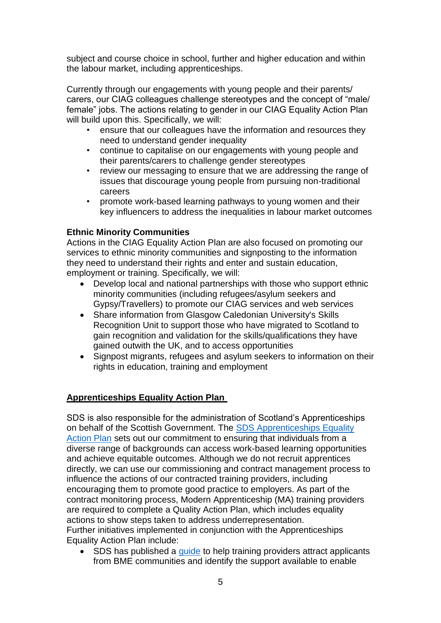subject and course choice in school, further and higher education and within the labour market, including apprenticeships.

Currently through our engagements with young people and their parents/ carers, our CIAG colleagues challenge stereotypes and the concept of "male/ female" jobs. The actions relating to gender in our CIAG Equality Action Plan will build upon this. Specifically, we will:

- ensure that our colleagues have the information and resources they need to understand gender inequality
- continue to capitalise on our engagements with young people and their parents/carers to challenge gender stereotypes
- review our messaging to ensure that we are addressing the range of issues that discourage young people from pursuing non-traditional careers
- promote work-based learning pathways to young women and their key influencers to address the inequalities in labour market outcomes

## **Ethnic Minority Communities**

Actions in the CIAG Equality Action Plan are also focused on promoting our services to ethnic minority communities and signposting to the information they need to understand their rights and enter and sustain education, employment or training. Specifically, we will:

- Develop local and national partnerships with those who support ethnic minority communities (including refugees/asylum seekers and Gypsy/Travellers) to promote our CIAG services and web services
- Share information from Glasgow Caledonian University's Skills Recognition Unit to support those who have migrated to Scotland to gain recognition and validation for the skills/qualifications they have gained outwith the UK, and to access opportunities
- Signpost migrants, refugees and asylum seekers to information on their rights in education, training and employment

## **Apprenticeships Equality Action Plan**

SDS is also responsible for the administration of Scotland's Apprenticeships on behalf of the Scottish Government. The [SDS Apprenticeships Equality](https://www.skillsdevelopmentscotland.co.uk/media/45850/apprenticeship-equality-action-plan-annual-report-2019.pdf)  [Action Plan](https://www.skillsdevelopmentscotland.co.uk/media/45850/apprenticeship-equality-action-plan-annual-report-2019.pdf) sets out our commitment to ensuring that individuals from a diverse range of backgrounds can access work-based learning opportunities and achieve equitable outcomes. Although we do not recruit apprentices directly, we can use our commissioning and contract management process to influence the actions of our contracted training providers, including encouraging them to promote good practice to employers. As part of the contract monitoring process, Modern Apprenticeship (MA) training providers are required to complete a Quality Action Plan, which includes equality actions to show steps taken to address underrepresentation. Further initiatives implemented in conjunction with the Apprenticeships Equality Action Plan include:

• SDS has published a [guide](https://www.skillsdevelopmentscotland.co.uk/media/44868/0711_guide-to-engaging-with-bme-communities.pdf) to help training providers attract applicants from BME communities and identify the support available to enable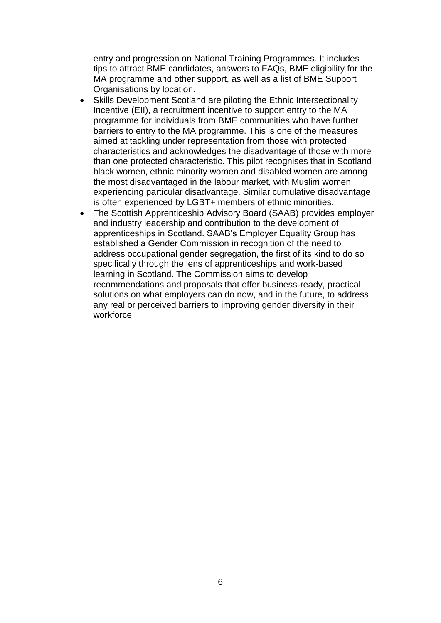entry and progression on National Training Programmes. It includes tips to attract BME candidates, answers to FAQs, BME eligibility for the MA programme and other support, as well as a list of BME Support Organisations by location.

- Skills Development Scotland are piloting the Ethnic Intersectionality Incentive (EII), a recruitment incentive to support entry to the MA programme for individuals from BME communities who have further barriers to entry to the MA programme. This is one of the measures aimed at tackling under representation from those with protected characteristics and acknowledges the disadvantage of those with more than one protected characteristic. This pilot recognises that in Scotland black women, ethnic minority women and disabled women are among the most disadvantaged in the labour market, with Muslim women experiencing particular disadvantage. Similar cumulative disadvantage is often experienced by LGBT+ members of ethnic minorities.
- The Scottish Apprenticeship Advisory Board (SAAB) provides employer and industry leadership and contribution to the development of apprenticeships in Scotland. SAAB's Employer Equality Group has established a Gender Commission in recognition of the need to address occupational gender segregation, the first of its kind to do so specifically through the lens of apprenticeships and work-based learning in Scotland. The Commission aims to develop recommendations and proposals that offer business-ready, practical solutions on what employers can do now, and in the future, to address any real or perceived barriers to improving gender diversity in their workforce.